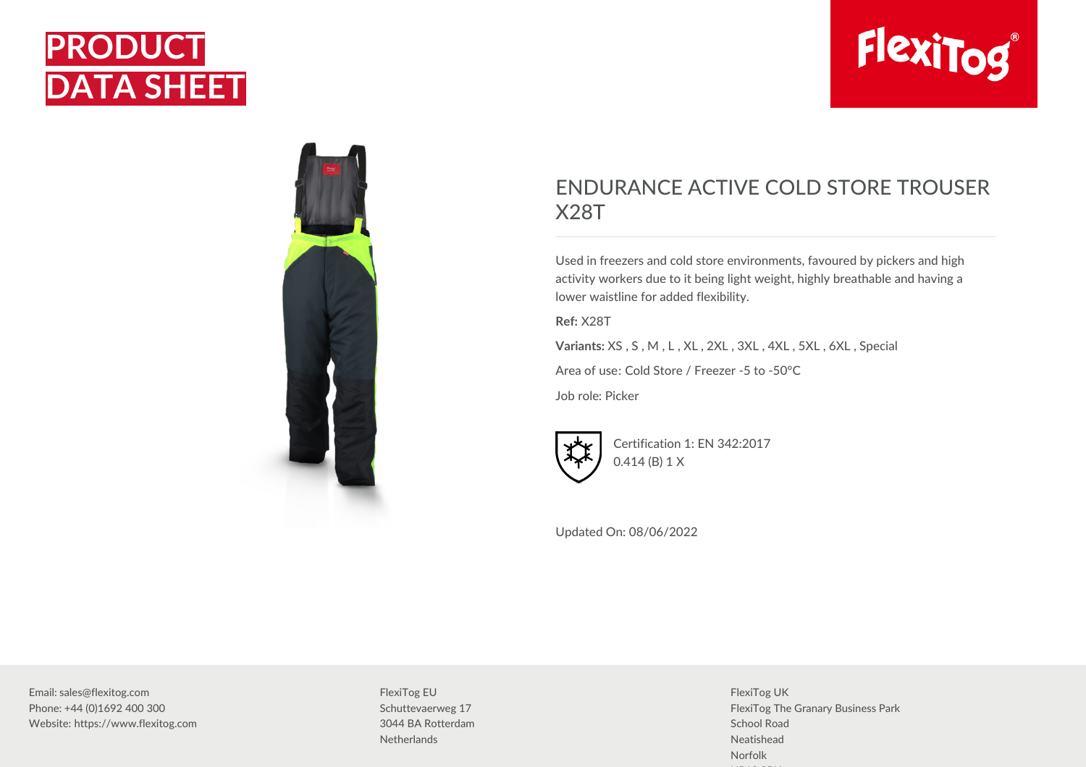



## ENDURANCE ACTIVE COLD STORE TROUSER X28T

Used in freezers and cold store environments, favoured by pickers and high activity workers due to it being light weight, highly breathable and having a lower waistline for added flexibility.

**Ref:** X28T

**Variants:** XS , S , M , L , XL , 2XL , 3XL , 4XL , 5XL , 6XL , Special

Area of use: Cold Store / Freezer -5 to -50°C

Job role: Picker



Certification 1: EN 342:2017 0.414 (B) 1 X

Updated On: 08/06/2022

Email: sales@flexitog.com Phone: +44 (0)1692 400 300 Website: https://www.flexitog.com FlexiTog EU Schuttevaerweg 17 3044 BA Rotterdam **Netherlands** 

FlexiTog UK FlexiTog The Granary Business Park School Road Neatishead Norfolk